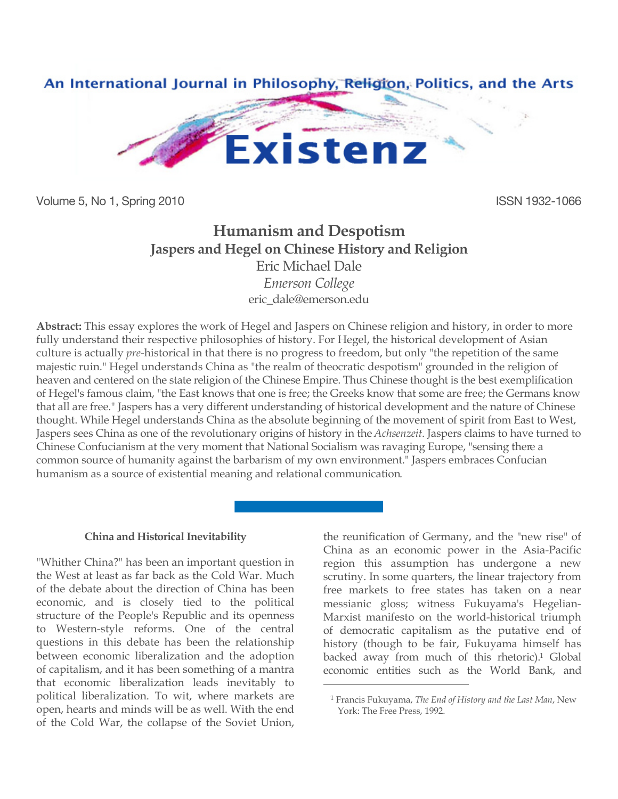

Volume 5, No 1, Spring 2010 **ISSN 1932-1066** 

# **Humanism and Despotism Jaspers and Hegel on Chinese History and Religion** Eric Michael Dale *Emerson College*

[eric\\_dale@emerson.edu](mailto:eric_dale@emerson.edu)

**Abstract:** This essay explores the work of Hegel and Jaspers on Chinese religion and history, in order to more fully understand their respective philosophies of history. For Hegel, the historical development of Asian culture is actually *pre*-historical in that there is no progress to freedom, but only "the repetition of the same majestic ruin." Hegel understands China as "the realm of theocratic despotism" grounded in the religion of heaven and centered on the state religion of the Chinese Empire. Thus Chinese thought is the best exemplification of Hegel's famous claim, "the East knows that one is free; the Greeks know that some are free; the Germans know that all are free." Jaspers has a very different understanding of historical development and the nature of Chinese thought. While Hegel understands China as the absolute beginning of the movement of spirit from East to West, Jaspers sees China as one of the revolutionary origins of history in the *Achsenzeit*. Jaspers claims to have turned to Chinese Confucianism at the very moment that National Socialism was ravaging Europe, "sensing there a common source of humanity against the barbarism of my own environment." Jaspers embraces Confucian humanism as a source of existential meaning and relational communication.

 $\overline{a}$ 

## **China and Historical Inevitability**

"Whither China?" has been an important question in the West at least as far back as the Cold War. Much of the debate about the direction of China has been economic, and is closely tied to the political structure of the People's Republic and its openness to Western-style reforms. One of the central questions in this debate has been the relationship between economic liberalization and the adoption of capitalism, and it has been something of a mantra that economic liberalization leads inevitably to political liberalization. To wit, where markets are open, hearts and minds will be as well. With the end of the Cold War, the collapse of the Soviet Union,

the reunification of Germany, and the "new rise" of China as an economic power in the Asia-Pacific region this assumption has undergone a new scrutiny. In some quarters, the linear trajectory from free markets to free states has taken on a near messianic gloss; witness Fukuyama's Hegelian-Marxist manifesto on the world-historical triumph of democratic capitalism as the putative end of history (though to be fair, Fukuyama himself has backed away from much of this rhetoric).<sup>1</sup> Global economic entities such as the World Bank, and

<sup>1</sup> Francis Fukuyama, *The End of History and the Last Man*, New York: The Free Press, 1992.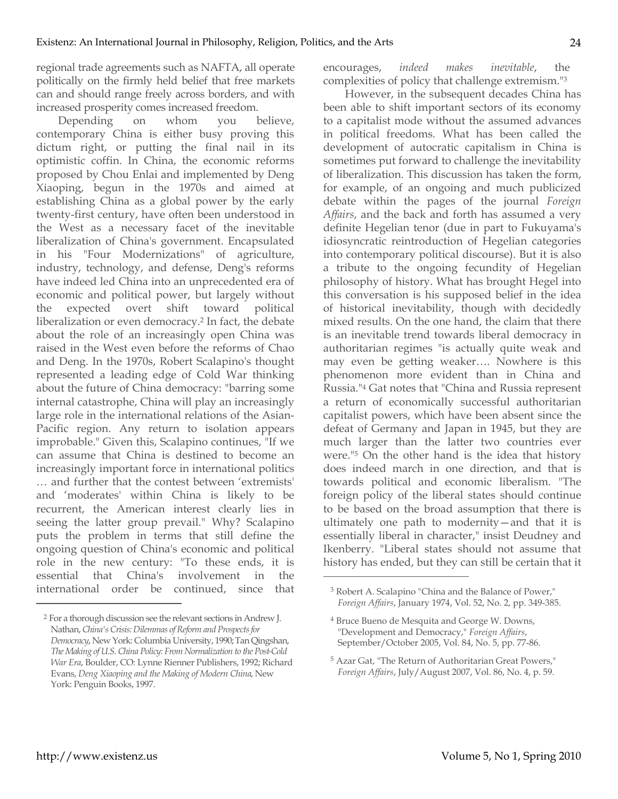regional trade agreements such as NAFTA, all operate politically on the firmly held belief that free markets can and should range freely across borders, and with increased prosperity comes increased freedom.

Depending on whom you believe, contemporary China is either busy proving this dictum right, or putting the final nail in its optimistic coffin. In China, the economic reforms proposed by Chou Enlai and implemented by Deng Xiaoping, begun in the 1970s and aimed at establishing China as a global power by the early twenty-first century, have often been understood in the West as a necessary facet of the inevitable liberalization of China's government. Encapsulated in his "Four Modernizations" of agriculture, industry, technology, and defense, Deng's reforms have indeed led China into an unprecedented era of economic and political power, but largely without the expected overt shift toward political liberalization or even democracy.2 In fact, the debate about the role of an increasingly open China was raised in the West even before the reforms of Chao and Deng. In the 1970s, Robert Scalapino's thought represented a leading edge of Cold War thinking about the future of China democracy: "barring some internal catastrophe, China will play an increasingly large role in the international relations of the Asian-Pacific region. Any return to isolation appears improbable." Given this, Scalapino continues, "If we can assume that China is destined to become an increasingly important force in international politics … and further that the contest between 'extremists' and 'moderates' within China is likely to be recurrent, the American interest clearly lies in seeing the latter group prevail." Why? Scalapino puts the problem in terms that still define the ongoing question of China's economic and political role in the new century: "To these ends, it is essential that China's involvement in the international order be continued, since that

encourages, *indeed makes inevitable*, the complexities of policy that challenge extremism."3

However, in the subsequent decades China has been able to shift important sectors of its economy to a capitalist mode without the assumed advances in political freedoms. What has been called the development of autocratic capitalism in China is sometimes put forward to challenge the inevitability of liberalization. This discussion has taken the form, for example, of an ongoing and much publicized debate within the pages of the journal *Foreign Affairs*, and the back and forth has assumed a very definite Hegelian tenor (due in part to Fukuyama's idiosyncratic reintroduction of Hegelian categories into contemporary political discourse). But it is also a tribute to the ongoing fecundity of Hegelian philosophy of history. What has brought Hegel into this conversation is his supposed belief in the idea of historical inevitability, though with decidedly mixed results. On the one hand, the claim that there is an inevitable trend towards liberal democracy in authoritarian regimes "is actually quite weak and may even be getting weaker…. Nowhere is this phenomenon more evident than in China and Russia."4 Gat notes that "China and Russia represent a return of economically successful authoritarian capitalist powers, which have been absent since the defeat of Germany and Japan in 1945, but they are much larger than the latter two countries ever were."5 On the other hand is the idea that history does indeed march in one direction, and that is towards political and economic liberalism. "The foreign policy of the liberal states should continue to be based on the broad assumption that there is ultimately one path to modernity—and that it is essentially liberal in character," insist Deudney and Ikenberry. "Liberal states should not assume that history has ended, but they can still be certain that it

 $\overline{a}$ 

<sup>2</sup> For a thorough discussion see the relevant sections in Andrew J. Nathan, *China's Crisis: Dilemmas of Reform and Prospects for Democracy*, New York: Columbia University, 1990; Tan Qingshan, *The Making of U.S. China Policy: From Normalization to the Post-Cold War Era*, Boulder, CO: Lynne Rienner Publishers, 1992; Richard Evans, *Deng Xiaoping and the Making of Modern China*, New York: Penguin Books, 1997.

<sup>3</sup> Robert A. Scalapino "China and the Balance of Power," *Foreign Affairs*, January 1974, Vol. 52, No. 2, pp. 349-385.

<sup>4</sup> Bruce Bueno de Mesquita and George W. Downs, "Development and Democracy," *Foreign Affairs*, September/October 2005, Vol. 84, No. 5, pp. 77-86.

<sup>5</sup> Azar Gat, "The Return of Authoritarian Great Powers," *Foreign Affairs*, July/August 2007, Vol. 86, No. 4, p. 59.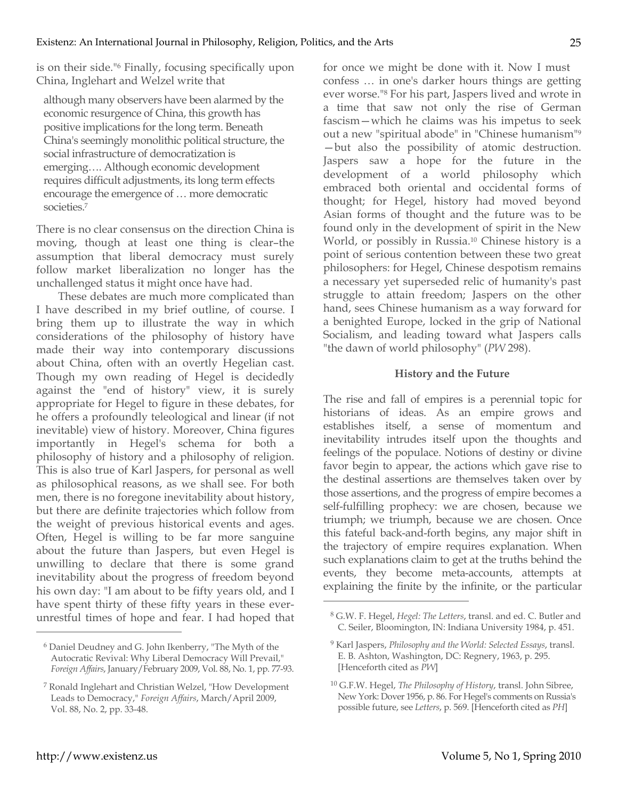is on their side."6 Finally, focusing specifically upon China, Inglehart and Welzel write that

although many observers have been alarmed by the economic resurgence of China, this growth has positive implications for the long term. Beneath China's seemingly monolithic political structure, the social infrastructure of democratization is emerging…. Although economic development requires difficult adjustments, its long term effects encourage the emergence of … more democratic societies.7

There is no clear consensus on the direction China is moving, though at least one thing is clear–the assumption that liberal democracy must surely follow market liberalization no longer has the unchallenged status it might once have had.

These debates are much more complicated than I have described in my brief outline, of course. I bring them up to illustrate the way in which considerations of the philosophy of history have made their way into contemporary discussions about China, often with an overtly Hegelian cast. Though my own reading of Hegel is decidedly against the "end of history" view, it is surely appropriate for Hegel to figure in these debates, for he offers a profoundly teleological and linear (if not inevitable) view of history. Moreover, China figures importantly in Hegel's schema for both a philosophy of history and a philosophy of religion. This is also true of Karl Jaspers, for personal as well as philosophical reasons, as we shall see. For both men, there is no foregone inevitability about history, but there are definite trajectories which follow from the weight of previous historical events and ages. Often, Hegel is willing to be far more sanguine about the future than Jaspers, but even Hegel is unwilling to declare that there is some grand inevitability about the progress of freedom beyond his own day: "I am about to be fifty years old, and I have spent thirty of these fifty years in these everunrestful times of hope and fear. I had hoped that for once we might be done with it. Now I must confess … in one's darker hours things are getting ever worse."8 For his part, Jaspers lived and wrote in a time that saw not only the rise of German fascism—which he claims was his impetus to seek out a new "spiritual abode" in "Chinese humanism"9 —but also the possibility of atomic destruction. Jaspers saw a hope for the future in the development of a world philosophy which embraced both oriental and occidental forms of thought; for Hegel, history had moved beyond Asian forms of thought and the future was to be found only in the development of spirit in the New World, or possibly in Russia.10 Chinese history is a point of serious contention between these two great philosophers: for Hegel, Chinese despotism remains a necessary yet superseded relic of humanity's past struggle to attain freedom; Jaspers on the other hand, sees Chinese humanism as a way forward for a benighted Europe, locked in the grip of National Socialism, and leading toward what Jaspers calls "the dawn of world philosophy" (*PW* 298).

### **History and the Future**

The rise and fall of empires is a perennial topic for historians of ideas. As an empire grows and establishes itself, a sense of momentum and inevitability intrudes itself upon the thoughts and feelings of the populace. Notions of destiny or divine favor begin to appear, the actions which gave rise to the destinal assertions are themselves taken over by those assertions, and the progress of empire becomes a self-fulfilling prophecy: we are chosen, because we triumph; we triumph, because we are chosen. Once this fateful back-and-forth begins, any major shift in the trajectory of empire requires explanation. When such explanations claim to get at the truths behind the events, they become meta-accounts, attempts at explaining the finite by the infinite, or the particular

 $\overline{a}$ 

<sup>6</sup> Daniel Deudney and G. John Ikenberry, "The Myth of the Autocratic Revival: Why Liberal Democracy Will Prevail," *Foreign Affairs*, January/February 2009, Vol. 88, No. 1, pp. 77-93.

<sup>7</sup> Ronald Inglehart and Christian Welzel, "How Development Leads to Democracy," *Foreign Affairs*, March/April 2009, Vol. 88, No. 2, pp. 33-48.

<sup>8</sup> G.W. F. Hegel, *Hegel: The Letters*, transl. and ed. C. Butler and C. Seiler, Bloomington, IN: Indiana University 1984, p. 451.

<sup>9</sup> Karl Jaspers, *Philosophy and the World: Selected Essays*, transl. E. B. Ashton, Washington, DC: Regnery, 1963, p. 295. [Henceforth cited as *PW*]

<sup>10</sup> G.F.W. Hegel, *The Philosophy of History*, transl. John Sibree, New York: Dover 1956, p. 86. For Hegel's comments on Russia's possible future, see *Letters*, p. 569. [Henceforth cited as *PH*]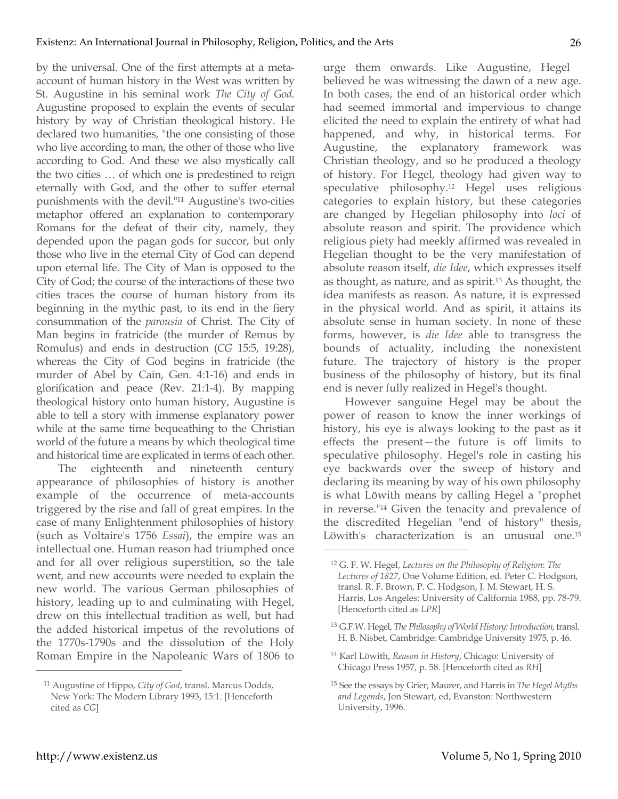by the universal. One of the first attempts at a metaaccount of human history in the West was written by St. Augustine in his seminal work *The City of God*. Augustine proposed to explain the events of secular history by way of Christian theological history. He declared two humanities, "the one consisting of those who live according to man, the other of those who live according to God. And these we also mystically call the two cities … of which one is predestined to reign eternally with God, and the other to suffer eternal punishments with the devil."11 Augustine's two-cities metaphor offered an explanation to contemporary Romans for the defeat of their city, namely, they depended upon the pagan gods for succor, but only those who live in the eternal City of God can depend upon eternal life. The City of Man is opposed to the City of God; the course of the interactions of these two cities traces the course of human history from its beginning in the mythic past, to its end in the fiery consummation of the *parousia* of Christ. The City of Man begins in fratricide (the murder of Remus by Romulus) and ends in destruction (*CG* 15:5, 19:28), whereas the City of God begins in fratricide (the murder of Abel by Cain, Gen. 4:1-16) and ends in glorification and peace (Rev. 21:1-4). By mapping theological history onto human history, Augustine is able to tell a story with immense explanatory power while at the same time bequeathing to the Christian world of the future a means by which theological time and historical time are explicated in terms of each other.

The eighteenth and nineteenth century appearance of philosophies of history is another example of the occurrence of meta-accounts triggered by the rise and fall of great empires. In the case of many Enlightenment philosophies of history (such as Voltaire's 1756 *Essai*), the empire was an intellectual one. Human reason had triumphed once and for all over religious superstition, so the tale went, and new accounts were needed to explain the new world. The various German philosophies of history, leading up to and culminating with Hegel, drew on this intellectual tradition as well, but had the added historical impetus of the revolutions of the 1770s-1790s and the dissolution of the Holy Roman Empire in the Napoleanic Wars of 1806 to

urge them onwards. Like Augustine, Hegel believed he was witnessing the dawn of a new age. In both cases, the end of an historical order which had seemed immortal and impervious to change elicited the need to explain the entirety of what had happened, and why, in historical terms. For Augustine, the explanatory framework was Christian theology, and so he produced a theology of history. For Hegel, theology had given way to speculative philosophy.12 Hegel uses religious categories to explain history, but these categories are changed by Hegelian philosophy into *loci* of absolute reason and spirit. The providence which religious piety had meekly affirmed was revealed in Hegelian thought to be the very manifestation of absolute reason itself, *die Idee*, which expresses itself as thought, as nature, and as spirit.13 As thought, the idea manifests as reason. As nature, it is expressed in the physical world. And as spirit, it attains its absolute sense in human society. In none of these forms, however, is *die Idee* able to transgress the bounds of actuality, including the nonexistent future. The trajectory of history is the proper business of the philosophy of history, but its final end is never fully realized in Hegel's thought.

However sanguine Hegel may be about the power of reason to know the inner workings of history, his eye is always looking to the past as it effects the present—the future is off limits to speculative philosophy. Hegel's role in casting his eye backwards over the sweep of history and declaring its meaning by way of his own philosophy is what Löwith means by calling Hegel a "prophet in reverse."14 Given the tenacity and prevalence of the discredited Hegelian "end of history" thesis, Löwith's characterization is an unusual one.15

 $\overline{a}$ 

<sup>11</sup> Augustine of Hippo, *City of God*, transl. Marcus Dodds, New York: The Modern Library 1993, 15:1. [Henceforth cited as *CG*]

<sup>12</sup> G. F. W. Hegel, *Lectures on the Philosophy of Religion*: *The Lectures of 1827*, One Volume Edition, ed. Peter C. Hodgson, transl. R. F. Brown, P. C. Hodgson, J. M. Stewart, H. S. Harris, Los Angeles: University of California 1988, pp. 78-79. [Henceforth cited as *LPR*]

<sup>13</sup> G.F.W. Hegel, *The Philosophy of World History: Introduction*, transl. H. B. Nisbet, Cambridge: Cambridge University 1975, p. 46.

<sup>14</sup> Karl Löwith, *Reason in History*, Chicago: University of Chicago Press 1957, p. 58. [Henceforth cited as *RH*]

<sup>15</sup> See the essays by Grier, Maurer, and Harris in *The Hegel Myths and Legends*, Jon Stewart, ed, Evanston: Northwestern University, 1996.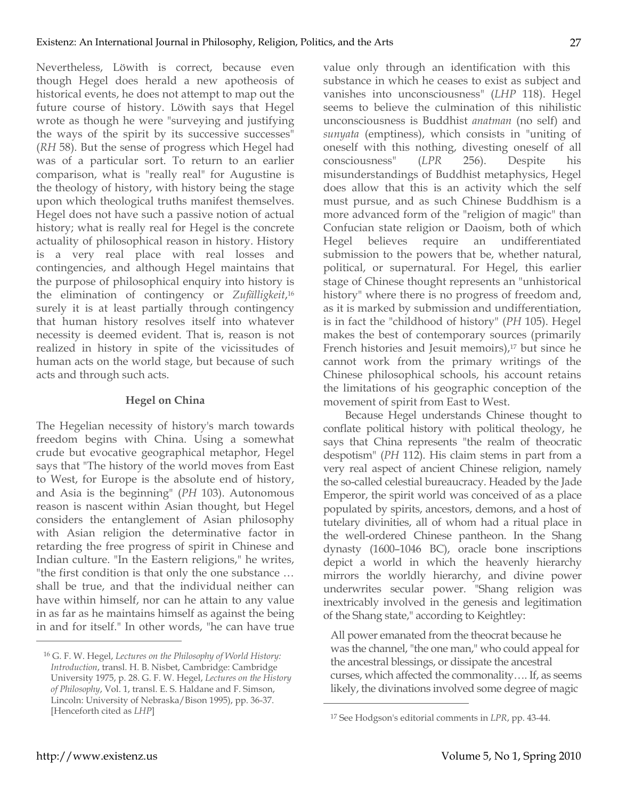Nevertheless, Löwith is correct, because even though Hegel does herald a new apotheosis of historical events, he does not attempt to map out the future course of history. Löwith says that Hegel wrote as though he were "surveying and justifying the ways of the spirit by its successive successes" (*RH* 58). But the sense of progress which Hegel had was of a particular sort. To return to an earlier comparison, what is "really real" for Augustine is the theology of history, with history being the stage upon which theological truths manifest themselves. Hegel does not have such a passive notion of actual history; what is really real for Hegel is the concrete actuality of philosophical reason in history. History is a very real place with real losses and contingencies, and although Hegel maintains that the purpose of philosophical enquiry into history is the elimination of contingency or *Zufälligkeit*,16 surely it is at least partially through contingency that human history resolves itself into whatever necessity is deemed evident. That is, reason is not realized in history in spite of the vicissitudes of human acts on the world stage, but because of such acts and through such acts.

# **Hegel on China**

The Hegelian necessity of history's march towards freedom begins with China. Using a somewhat crude but evocative geographical metaphor, Hegel says that "The history of the world moves from East to West, for Europe is the absolute end of history, and Asia is the beginning" (*PH* 103). Autonomous reason is nascent within Asian thought, but Hegel considers the entanglement of Asian philosophy with Asian religion the determinative factor in retarding the free progress of spirit in Chinese and Indian culture. "In the Eastern religions," he writes, "the first condition is that only the one substance … shall be true, and that the individual neither can have within himself, nor can he attain to any value in as far as he maintains himself as against the being in and for itself." In other words, "he can have true

value only through an identification with this substance in which he ceases to exist as subject and vanishes into unconsciousness" (*LHP* 118). Hegel seems to believe the culmination of this nihilistic unconsciousness is Buddhist *anatman* (no self) and *sunyata* (emptiness), which consists in "uniting of oneself with this nothing, divesting oneself of all consciousness" (*LPR* 256). Despite his misunderstandings of Buddhist metaphysics, Hegel does allow that this is an activity which the self must pursue, and as such Chinese Buddhism is a more advanced form of the "religion of magic" than Confucian state religion or Daoism, both of which Hegel believes require an undifferentiated submission to the powers that be, whether natural, political, or supernatural. For Hegel, this earlier stage of Chinese thought represents an "unhistorical history" where there is no progress of freedom and, as it is marked by submission and undifferentiation, is in fact the "childhood of history" (*PH* 105). Hegel makes the best of contemporary sources (primarily French histories and Jesuit memoirs),<sup>17</sup> but since he cannot work from the primary writings of the Chinese philosophical schools, his account retains the limitations of his geographic conception of the movement of spirit from East to West.

Because Hegel understands Chinese thought to conflate political history with political theology, he says that China represents "the realm of theocratic despotism" (*PH* 112). His claim stems in part from a very real aspect of ancient Chinese religion, namely the so-called celestial bureaucracy. Headed by the Jade Emperor, the spirit world was conceived of as a place populated by spirits, ancestors, demons, and a host of tutelary divinities, all of whom had a ritual place in the well-ordered Chinese pantheon. In the Shang dynasty (1600–1046 BC), oracle bone inscriptions depict a world in which the heavenly hierarchy mirrors the worldly hierarchy, and divine power underwrites secular power. "Shang religion was inextricably involved in the genesis and legitimation of the Shang state," according to Keightley:

All power emanated from the theocrat because he was the channel, "the one man," who could appeal for the ancestral blessings, or dissipate the ancestral curses, which affected the commonality…. If, as seems likely, the divinations involved some degree of magic

 $\overline{a}$ 

<sup>16</sup> G. F. W. Hegel, *Lectures on the Philosophy of World History: Introduction*, transl. H. B. Nisbet, Cambridge: Cambridge University 1975, p. 28. G. F. W. Hegel, *Lectures on the History of Philosophy*, Vol. 1, transl. E. S. Haldane and F. Simson, Lincoln: University of Nebraska/Bison 1995), pp. 36-37. [Henceforth cited as *LHP*]

<sup>17</sup> See Hodgson's editorial comments in *LPR*, pp. 43-44.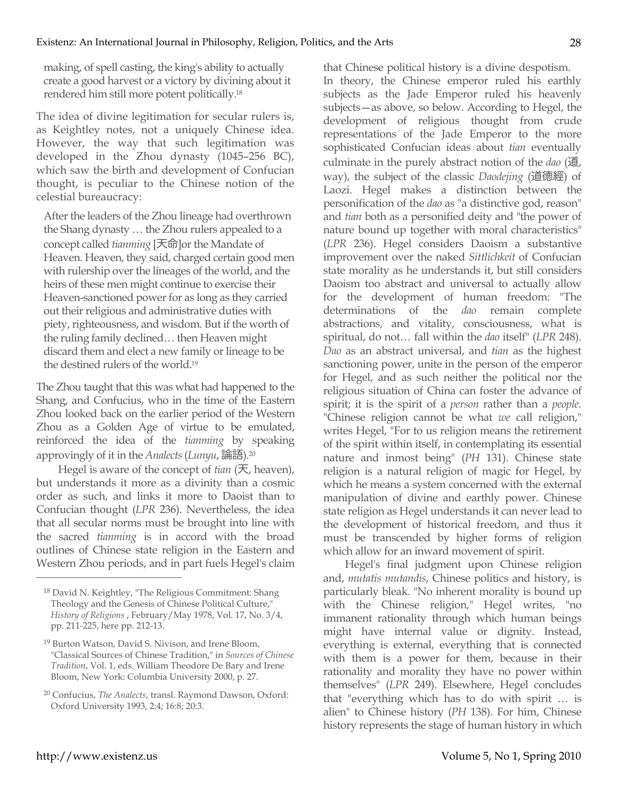making, of spell casting, the king's ability to actually create a good harvest or a victory by divining about it rendered him still more potent politically.18

The idea of divine legitimation for secular rulers is, as Keightley notes, not a uniquely Chinese idea. However, the way that such legitimation was developed in the Zhou dynasty (1045–256 BC), which saw the birth and development of Confucian thought, is peculiar to the Chinese notion of the celestial bureaucracy:

After the leaders of the Zhou lineage had overthrown the Shang dynasty … the Zhou rulers appealed to a concept called *tianming* [天命]or the Mandate of Heaven. Heaven, they said, charged certain good men with rulership over the lineages of the world, and the heirs of these men might continue to exercise their Heaven-sanctioned power for as long as they carried out their religious and administrative duties with piety, righteousness, and wisdom. But if the worth of the ruling family declined… then Heaven might discard them and elect a new family or lineage to be the destined rulers of the world.19

The Zhou taught that this was what had happened to the Shang, and Confucius, who in the time of the Eastern Zhou looked back on the earlier period of the Western Zhou as a Golden Age of virtue to be emulated, reinforced the idea of the *tianming* by speaking approvingly of it in the *Analects* (*Lunyu*, 論語). 20

Hegel is aware of the concept of *tian* (天, heaven), but understands it more as a divinity than a cosmic order as such, and links it more to Daoist than to Confucian thought (*LPR* 236). Nevertheless, the idea that all secular norms must be brought into line with the sacred *tianming* is in accord with the broad outlines of Chinese state religion in the Eastern and Western Zhou periods, and in part fuels Hegel's claim that Chinese political history is a divine despotism. In theory, the Chinese emperor ruled his earthly subjects as the Jade Emperor ruled his heavenly subjects—as above, so below. According to Hegel, the development of religious thought from crude representations of the Jade Emperor to the more sophisticated Confucian ideas about *tian* eventually culminate in the purely abstract notion of the *dao* (道, way), the subject of the classic *Daodejing* (道德經) of Laozi. Hegel makes a distinction between the personification of the *dao* as "a distinctive god, reason" and *tian* both as a personified deity and "the power of nature bound up together with moral characteristics" (*LPR* 236). Hegel considers Daoism a substantive improvement over the naked *Sittlichkeit* of Confucian state morality as he understands it, but still considers Daoism too abstract and universal to actually allow for the development of human freedom: "The determinations of the *dao* remain complete abstractions, and vitality, consciousness, what is spiritual, do not… fall within the *dao* itself" (*LPR* 248). *Dao* as an abstract universal, and *tian* as the highest sanctioning power, unite in the person of the emperor for Hegel, and as such neither the political nor the religious situation of China can foster the advance of spirit; it is the spirit of a *person* rather than a *people*. "Chinese religion cannot be what *we* call religion," writes Hegel, "For to us religion means the retirement of the spirit within itself, in contemplating its essential nature and inmost being" (*PH* 131). Chinese state religion is a natural religion of magic for Hegel, by which he means a system concerned with the external manipulation of divine and earthly power. Chinese state religion as Hegel understands it can never lead to the development of historical freedom, and thus it must be transcended by higher forms of religion which allow for an inward movement of spirit.

Hegel's final judgment upon Chinese religion and, *mutatis mutandis*, Chinese politics and history, is particularly bleak. "No inherent morality is bound up with the Chinese religion," Hegel writes, "no immanent rationality through which human beings might have internal value or dignity. Instead, everything is external, everything that is connected with them is a power for them, because in their rationality and morality they have no power within themselves" (*LPR* 249). Elsewhere, Hegel concludes that "everything which has to do with spirit … is alien" to Chinese history (*PH* 138). For him, Chinese history represents the stage of human history in which

<sup>18</sup> David N. Keightley, "The Religious Commitment: Shang Theology and the Genesis of Chinese Political Culture," *History of Religions* , February/May 1978, Vol. 17, No. 3/4, pp. 211-225, here pp. 212-13.

<sup>19</sup> Burton Watson, David S. Nivison, and Irene Bloom, "Classical Sources of Chinese Tradition," in *Sources of Chinese Tradition*, Vol. 1, eds. William Theodore De Bary and Irene Bloom, New York: Columbia University 2000, p. 27.

<sup>20</sup> Confucius, *The Analects*, transl. Raymond Dawson, Oxford: Oxford University 1993, 2:4; 16:8; 20:3.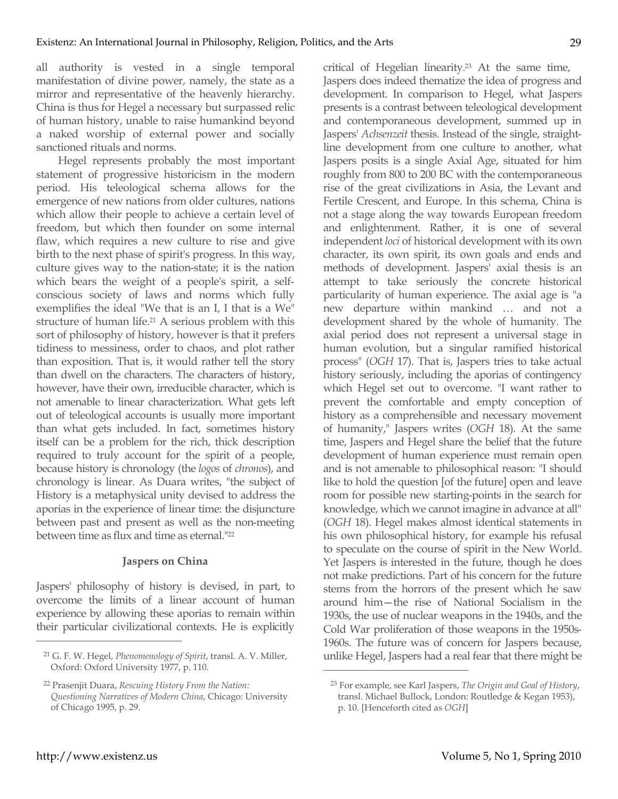all authority is vested in a single temporal manifestation of divine power, namely, the state as a mirror and representative of the heavenly hierarchy. China is thus for Hegel a necessary but surpassed relic of human history, unable to raise humankind beyond a naked worship of external power and socially sanctioned rituals and norms.

Hegel represents probably the most important statement of progressive historicism in the modern period. His teleological schema allows for the emergence of new nations from older cultures, nations which allow their people to achieve a certain level of freedom, but which then founder on some internal flaw, which requires a new culture to rise and give birth to the next phase of spirit's progress. In this way, culture gives way to the nation-state; it is the nation which bears the weight of a people's spirit, a selfconscious society of laws and norms which fully exemplifies the ideal "We that is an I, I that is a We" structure of human life.21 A serious problem with this sort of philosophy of history, however is that it prefers tidiness to messiness, order to chaos, and plot rather than exposition. That is, it would rather tell the story than dwell on the characters. The characters of history, however, have their own, irreducible character, which is not amenable to linear characterization. What gets left out of teleological accounts is usually more important than what gets included. In fact, sometimes history itself can be a problem for the rich, thick description required to truly account for the spirit of a people, because history is chronology (the *logos* of *chronos*), and chronology is linear. As Duara writes, "the subject of History is a metaphysical unity devised to address the aporias in the experience of linear time: the disjuncture between past and present as well as the non-meeting between time as flux and time as eternal."22

## **Jaspers on China**

Jaspers' philosophy of history is devised, in part, to overcome the limits of a linear account of human experience by allowing these aporias to remain within their particular civilizational contexts. He is explicitly critical of Hegelian linearity.23 At the same time, Jaspers does indeed thematize the idea of progress and development. In comparison to Hegel, what Jaspers presents is a contrast between teleological development and contemporaneous development, summed up in Jaspers' *Achsenzeit* thesis. Instead of the single, straightline development from one culture to another, what Jaspers posits is a single Axial Age, situated for him roughly from 800 to 200 BC with the contemporaneous rise of the great civilizations in Asia, the Levant and Fertile Crescent, and Europe. In this schema, China is not a stage along the way towards European freedom and enlightenment. Rather, it is one of several independent *loci* of historical development with its own character, its own spirit, its own goals and ends and methods of development. Jaspers' axial thesis is an attempt to take seriously the concrete historical particularity of human experience. The axial age is "a new departure within mankind … and not a development shared by the whole of humanity. The axial period does not represent a universal stage in human evolution, but a singular ramified historical process" (*OGH* 17). That is, Jaspers tries to take actual history seriously, including the aporias of contingency which Hegel set out to overcome. "I want rather to prevent the comfortable and empty conception of history as a comprehensible and necessary movement of humanity," Jaspers writes (*OGH* 18). At the same time, Jaspers and Hegel share the belief that the future development of human experience must remain open and is not amenable to philosophical reason: "I should like to hold the question [of the future] open and leave room for possible new starting-points in the search for knowledge, which we cannot imagine in advance at all" (*OGH* 18). Hegel makes almost identical statements in his own philosophical history, for example his refusal to speculate on the course of spirit in the New World. Yet Jaspers is interested in the future, though he does not make predictions. Part of his concern for the future stems from the horrors of the present which he saw around him—the rise of National Socialism in the 1930s, the use of nuclear weapons in the 1940s, and the Cold War proliferation of those weapons in the 1950s-1960s. The future was of concern for Jaspers because, unlike Hegel, Jaspers had a real fear that there might be

 $\overline{a}$ 

<sup>21</sup> G. F. W. Hegel, *Phenomenology of Spirit*, transl. A. V. Miller, Oxford: Oxford University 1977, p. 110.

<sup>22</sup> Prasenjit Duara, *Rescuing History From the Nation: Questioning Narratives of Modern China*, Chicago: University of Chicago 1995, p. 29.

<sup>23</sup> For example, see Karl Jaspers, *The Origin and Goal of History*, transl. Michael Bullock, London: Routledge & Kegan 1953), p. 10. [Henceforth cited as *OGH*]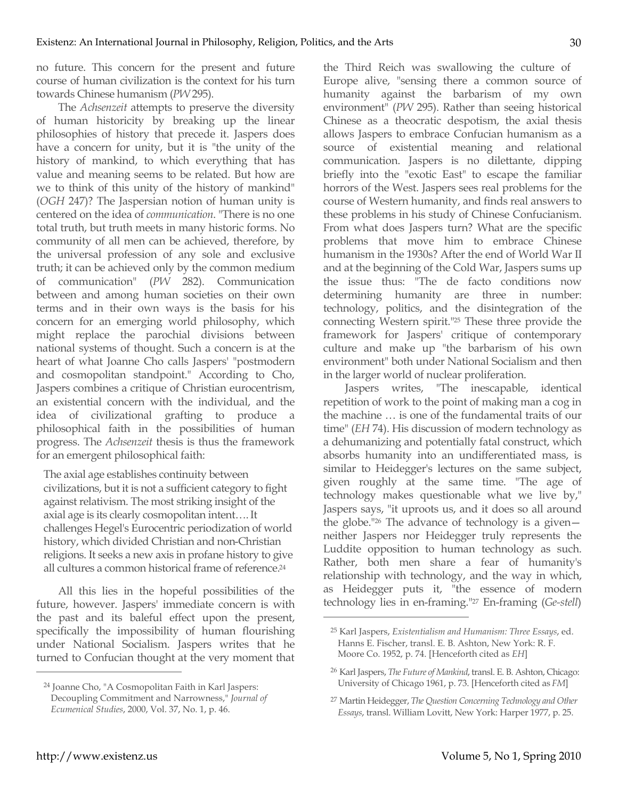no future. This concern for the present and future course of human civilization is the context for his turn towards Chinese humanism (*PW* 295).

The *Achsenzeit* attempts to preserve the diversity of human historicity by breaking up the linear philosophies of history that precede it. Jaspers does have a concern for unity, but it is "the unity of the history of mankind, to which everything that has value and meaning seems to be related. But how are we to think of this unity of the history of mankind" (*OGH* 247)? The Jaspersian notion of human unity is centered on the idea of *communication*. "There is no one total truth, but truth meets in many historic forms. No community of all men can be achieved, therefore, by the universal profession of any sole and exclusive truth; it can be achieved only by the common medium of communication" (*PW* 282). Communication between and among human societies on their own terms and in their own ways is the basis for his concern for an emerging world philosophy, which might replace the parochial divisions between national systems of thought. Such a concern is at the heart of what Joanne Cho calls Jaspers' "postmodern and cosmopolitan standpoint." According to Cho, Jaspers combines a critique of Christian eurocentrism, an existential concern with the individual, and the idea of civilizational grafting to produce a philosophical faith in the possibilities of human progress. The *Achsenzeit* thesis is thus the framework for an emergent philosophical faith:

The axial age establishes continuity between civilizations, but it is not a sufficient category to fight against relativism. The most striking insight of the axial age is its clearly cosmopolitan intent…. It challenges Hegel's Eurocentric periodization of world history, which divided Christian and non-Christian religions. It seeks a new axis in profane history to give all cultures a common historical frame of reference.<sup>24</sup>

All this lies in the hopeful possibilities of the future, however. Jaspers' immediate concern is with the past and its baleful effect upon the present, specifically the impossibility of human flourishing under National Socialism. Jaspers writes that he turned to Confucian thought at the very moment that the Third Reich was swallowing the culture of Europe alive, "sensing there a common source of humanity against the barbarism of my own environment" (*PW* 295). Rather than seeing historical Chinese as a theocratic despotism, the axial thesis allows Jaspers to embrace Confucian humanism as a source of existential meaning and relational communication. Jaspers is no dilettante, dipping briefly into the "exotic East" to escape the familiar horrors of the West. Jaspers sees real problems for the course of Western humanity, and finds real answers to these problems in his study of Chinese Confucianism. From what does Jaspers turn? What are the specific problems that move him to embrace Chinese humanism in the 1930s? After the end of World War II and at the beginning of the Cold War, Jaspers sums up the issue thus: "The de facto conditions now determining humanity are three in number: technology, politics, and the disintegration of the connecting Western spirit."25 These three provide the framework for Jaspers' critique of contemporary culture and make up "the barbarism of his own environment" both under National Socialism and then in the larger world of nuclear proliferation.

Jaspers writes, "The inescapable, identical repetition of work to the point of making man a cog in the machine … is one of the fundamental traits of our time" (*EH* 74). His discussion of modern technology as a dehumanizing and potentially fatal construct, which absorbs humanity into an undifferentiated mass, is similar to Heidegger's lectures on the same subject, given roughly at the same time. "The age of technology makes questionable what we live by," Jaspers says, "it uproots us, and it does so all around the globe."26 The advance of technology is a given neither Jaspers nor Heidegger truly represents the Luddite opposition to human technology as such. Rather, both men share a fear of humanity's relationship with technology, and the way in which, as Heidegger puts it, "the essence of modern technology lies in en-framing."27 En-framing (*Ge-stell*)

 $\overline{a}$ 

<sup>24</sup> Joanne Cho, "A Cosmopolitan Faith in Karl Jaspers: Decoupling Commitment and Narrowness," *Journal of Ecumenical Studies*, 2000, Vol. 37, No. 1, p. 46.

<sup>25</sup> Karl Jaspers, *Existentialism and Humanism: Three Essays*, ed. Hanns E. Fischer, transl. E. B. Ashton, New York: R. F. Moore Co. 1952, p. 74. [Henceforth cited as *EH*]

<sup>26</sup> Karl Jaspers, *The Future of Mankind*, transl. E. B. Ashton, Chicago: University of Chicago 1961, p. 73. [Henceforth cited as *FM*]

<sup>27</sup> Martin Heidegger, *The Question Concerning Technology and Other Essays*, transl. William Lovitt, New York: Harper 1977, p. 25.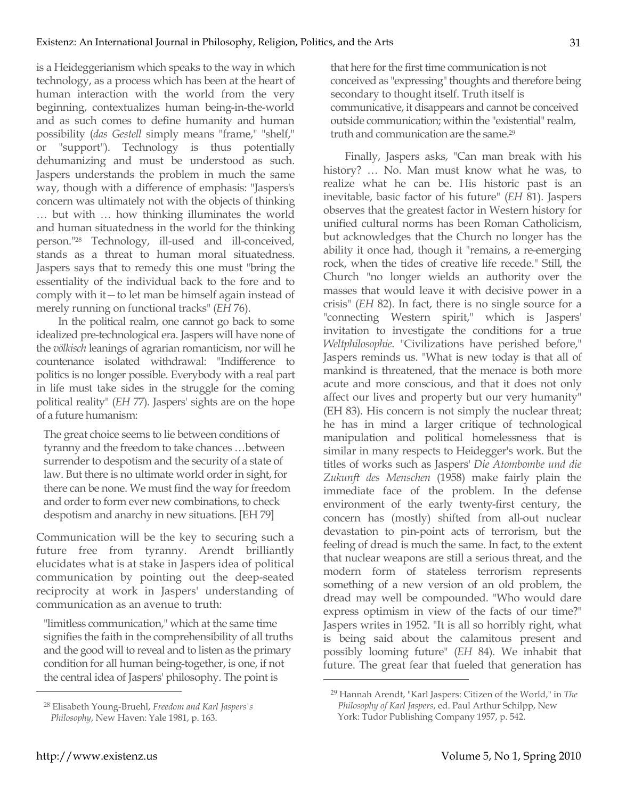is a Heideggerianism which speaks to the way in which technology, as a process which has been at the heart of human interaction with the world from the very beginning, contextualizes human being-in-the-world and as such comes to define humanity and human possibility (*das Gestell* simply means "frame," "shelf," or "support"). Technology is thus potentially dehumanizing and must be understood as such. Jaspers understands the problem in much the same way, though with a difference of emphasis: "Jaspers's concern was ultimately not with the objects of thinking … but with … how thinking illuminates the world and human situatedness in the world for the thinking person."28 Technology, ill-used and ill-conceived, stands as a threat to human moral situatedness. Jaspers says that to remedy this one must "bring the essentiality of the individual back to the fore and to comply with it—to let man be himself again instead of merely running on functional tracks" (*EH* 76).

In the political realm, one cannot go back to some idealized pre-technological era. Jaspers will have none of the *völkisch* leanings of agrarian romanticism, nor will he countenance isolated withdrawal: "Indifference to politics is no longer possible. Everybody with a real part in life must take sides in the struggle for the coming political reality" (*EH* 77). Jaspers' sights are on the hope of a future humanism:

The great choice seems to lie between conditions of tyranny and the freedom to take chances …between surrender to despotism and the security of a state of law. But there is no ultimate world order in sight, for there can be none. We must find the way for freedom and order to form ever new combinations, to check despotism and anarchy in new situations. [EH 79]

Communication will be the key to securing such a future free from tyranny. Arendt brilliantly elucidates what is at stake in Jaspers idea of political communication by pointing out the deep-seated reciprocity at work in Jaspers' understanding of communication as an avenue to truth:

"limitless communication," which at the same time signifies the faith in the comprehensibility of all truths and the good will to reveal and to listen as the primary condition for all human being-together, is one, if not the central idea of Jaspers' philosophy. The point is

that here for the first time communication is not conceived as "expressing" thoughts and therefore being secondary to thought itself. Truth itself is communicative, it disappears and cannot be conceived outside communication; within the "existential" realm, truth and communication are the same.29

Finally, Jaspers asks, "Can man break with his history? … No. Man must know what he was, to realize what he can be. His historic past is an inevitable, basic factor of his future" (*EH* 81). Jaspers observes that the greatest factor in Western history for unified cultural norms has been Roman Catholicism, but acknowledges that the Church no longer has the ability it once had, though it "remains, a re-emerging rock, when the tides of creative life recede." Still, the Church "no longer wields an authority over the masses that would leave it with decisive power in a crisis" (*EH* 82). In fact, there is no single source for a "connecting Western spirit," which is Jaspers' invitation to investigate the conditions for a true *Weltphilosophie*. "Civilizations have perished before," Jaspers reminds us. "What is new today is that all of mankind is threatened, that the menace is both more acute and more conscious, and that it does not only affect our lives and property but our very humanity" (EH 83). His concern is not simply the nuclear threat; he has in mind a larger critique of technological manipulation and political homelessness that is similar in many respects to Heidegger's work. But the titles of works such as Jaspers' *Die Atombombe und die Zukunft des Menschen* (1958) make fairly plain the immediate face of the problem. In the defense environment of the early twenty-first century, the concern has (mostly) shifted from all-out nuclear devastation to pin-point acts of terrorism, but the feeling of dread is much the same. In fact, to the extent that nuclear weapons are still a serious threat, and the modern form of stateless terrorism represents something of a new version of an old problem, the dread may well be compounded. "Who would dare express optimism in view of the facts of our time?" Jaspers writes in 1952. "It is all so horribly right, what is being said about the calamitous present and possibly looming future" (*EH* 84). We inhabit that future. The great fear that fueled that generation has  $\overline{a}$ 

31

<sup>28</sup> Elisabeth Young-Bruehl, *Freedom and Karl Jaspers's Philosophy*, New Haven: Yale 1981, p. 163.

<sup>29</sup> Hannah Arendt, "Karl Jaspers: Citizen of the World," in *The Philosophy of Karl Jaspers*, ed. Paul Arthur Schilpp, New York: Tudor Publishing Company 1957, p. 542.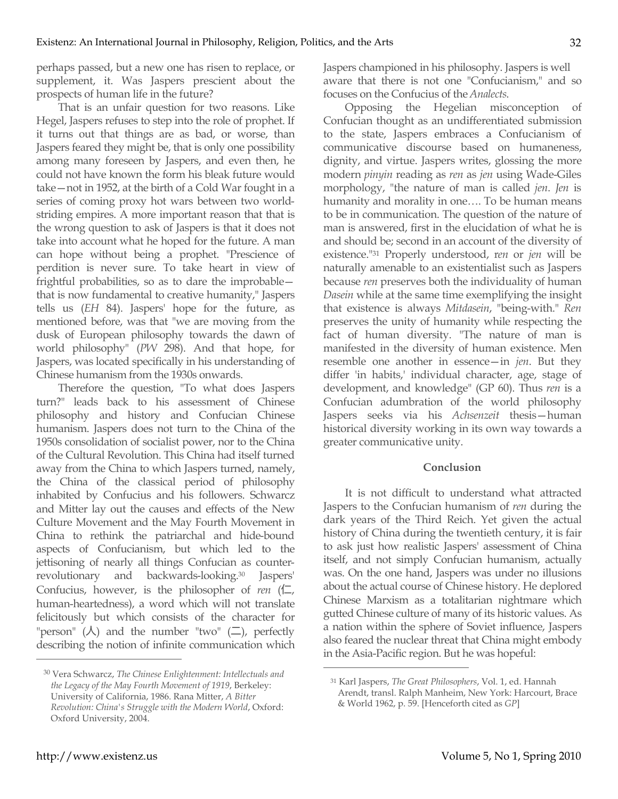perhaps passed, but a new one has risen to replace, or supplement, it. Was Jaspers prescient about the prospects of human life in the future?

That is an unfair question for two reasons. Like Hegel, Jaspers refuses to step into the role of prophet. If it turns out that things are as bad, or worse, than Jaspers feared they might be, that is only one possibility among many foreseen by Jaspers, and even then, he could not have known the form his bleak future would take—not in 1952, at the birth of a Cold War fought in a series of coming proxy hot wars between two worldstriding empires. A more important reason that that is the wrong question to ask of Jaspers is that it does not take into account what he hoped for the future. A man can hope without being a prophet. "Prescience of perdition is never sure. To take heart in view of frightful probabilities, so as to dare the improbable that is now fundamental to creative humanity," Jaspers tells us (*EH* 84). Jaspers' hope for the future, as mentioned before, was that "we are moving from the dusk of European philosophy towards the dawn of world philosophy" (*PW* 298). And that hope, for Jaspers, was located specifically in his understanding of Chinese humanism from the 1930s onwards.

Therefore the question, "To what does Jaspers turn?" leads back to his assessment of Chinese philosophy and history and Confucian Chinese humanism. Jaspers does not turn to the China of the 1950s consolidation of socialist power, nor to the China of the Cultural Revolution. This China had itself turned away from the China to which Jaspers turned, namely, the China of the classical period of philosophy inhabited by Confucius and his followers. Schwarcz and Mitter lay out the causes and effects of the New Culture Movement and the May Fourth Movement in China to rethink the patriarchal and hide-bound aspects of Confucianism, but which led to the jettisoning of nearly all things Confucian as counterrevolutionary and backwards-looking.30 Jaspers' Confucius, however, is the philosopher of *ren*  $(\Box)$ , human-heartedness), a word which will not translate felicitously but which consists of the character for "person"  $(\lambda)$  and the number "two"  $(\square)$ , perfectly describing the notion of infinite communication which Jaspers championed in his philosophy. Jaspers is well aware that there is not one "Confucianism," and so focuses on the Confucius of the *Analects*.

Opposing the Hegelian misconception of Confucian thought as an undifferentiated submission to the state, Jaspers embraces a Confucianism of communicative discourse based on humaneness, dignity, and virtue. Jaspers writes, glossing the more modern *pinyin* reading as *ren* as *jen* using Wade-Giles morphology, "the nature of man is called *jen*. *Jen* is humanity and morality in one…. To be human means to be in communication. The question of the nature of man is answered, first in the elucidation of what he is and should be; second in an account of the diversity of existence."31 Properly understood, r*en* or *jen* will be naturally amenable to an existentialist such as Jaspers because *ren* preserves both the individuality of human *Dasein* while at the same time exemplifying the insight that existence is always *Mitdasein*, "being-with." *Ren*  preserves the unity of humanity while respecting the fact of human diversity. "The nature of man is manifested in the diversity of human existence. Men resemble one another in essence—in *jen*. But they differ 'in habits,' individual character, age, stage of development, and knowledge" (GP 60). Thus *ren* is a Confucian adumbration of the world philosophy Jaspers seeks via his *Achsenzeit* thesis—human historical diversity working in its own way towards a greater communicative unity.

### **Conclusion**

It is not difficult to understand what attracted Jaspers to the Confucian humanism of *ren* during the dark years of the Third Reich. Yet given the actual history of China during the twentieth century, it is fair to ask just how realistic Jaspers' assessment of China itself, and not simply Confucian humanism, actually was. On the one hand, Jaspers was under no illusions about the actual course of Chinese history. He deplored Chinese Marxism as a totalitarian nightmare which gutted Chinese culture of many of its historic values. As a nation within the sphere of Soviet influence, Jaspers also feared the nuclear threat that China might embody in the Asia-Pacific region. But he was hopeful:

 $\overline{a}$ 

<sup>30</sup> Vera Schwarcz, *The Chinese Enlightenment: Intellectuals and the Legacy of the May Fourth Movement of 1919*, Berkeley: University of California, 1986. Rana Mitter, *A Bitter Revolution: China's Struggle with the Modern World*, Oxford: Oxford University, 2004.

<sup>31</sup> Karl Jaspers, *The Great Philosophers*, Vol. 1, ed. Hannah Arendt, transl. Ralph Manheim, New York: Harcourt, Brace & World 1962, p. 59. [Henceforth cited as *GP*]